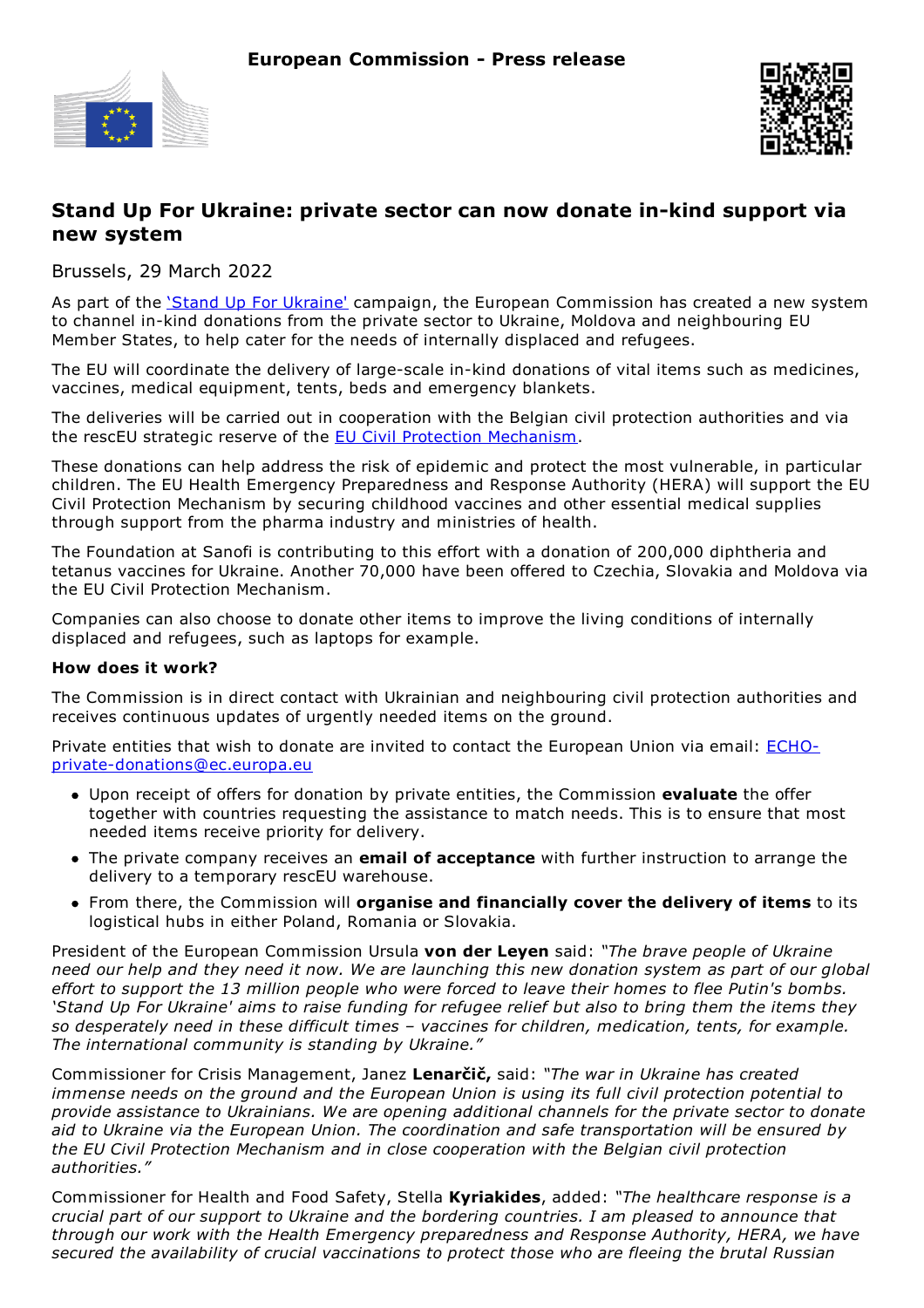



## **Stand Up For Ukraine: private sector can now donate in-kind support via new system**

Brussels, 29 March 2022

As part of the *Stand Up For Ukraine'* campaign, the European Commission has created a new system to channel in-kind donations from the private sector to Ukraine, Moldova and neighbouring EU Member States, to help cater for the needs of internally displaced and refugees.

The EU will coordinate the delivery of large-scale in-kind donations of vital items such as medicines, vaccines, medical equipment, tents, beds and emergency blankets.

The deliveries will be carried out in cooperation with the Belgian civil protection authorities and via the rescEU strategic reserve of the EU Civil Protection Mechanism.

These donations can help address the risk of epidemic and protect the most vulnerable, in particular children. The EU Health Emergency Preparedness and Response Authority (HERA) will support the EU Civil Protection Mechanism by securing childhood vaccines and other essential medical supplies through support from the pharma industry and ministries of health.

The Foundation at Sanofi is contributing to this effort with a donation of 200,000 diphtheria and tetanus vaccines for Ukraine. Another 70,000 have been offered to Czechia, Slovakia and Moldova via the EU Civil Protection Mechanism.

Companies can also choose to donate other items to improve the living conditions of internally displaced and refugees, such as laptops for example.

## **How does it work?**

The Commission is in direct contact with Ukrainian and neighbouring civil protection authorities and receives continuous updates of urgently needed items on the ground.

Private entities that wish to donate are invited to contact the European Union via email: ECHOprivate-donations@ec.europa.eu

- Upon receipt of offers for donation by private entities, the Commission **evaluate** the offer together with countries requesting the assistance to match needs. This is to ensure that most needed items receive priority for delivery.
- The private company receives an **email of acceptance** with further instruction to arrange the delivery to a temporary rescEU warehouse.
- From there, the Commission will **organise and financially cover the delivery of items** to its logistical hubs in either Poland, Romania or Slovakia.

President of the European Commission Ursula **von der Leyen** said: *"The brave people of Ukraine* need our help and they need it now. We are launching this new donation system as part of our global effort to support the 13 million people who were forced to leave their homes to flee Putin's bombs. 'Stand Up For Ukraine' aims to raise funding for refugee relief but also to bring them the items they *so desperately need in these difficult times – vaccines for children, medication, tents, for example. The international community is standing by Ukraine."*

Commissioner for Crisis Management, Janez **Lenarčič,** said: *"The war in Ukraine has created immense needs on the ground and the European Union is using its full civil protection potential to provide assistance to Ukrainians. We are opening additional channels for the private sector to donate aid to Ukraine via the European Union. The coordination and safe transportation will be ensured by the EU Civil Protection Mechanism and in close cooperation with the Belgian civil protection authorities."*

Commissioner for Health and Food Safety, Stella **Kyriakides**, added: *"The healthcare response is a crucial part of our support to Ukraine and the bordering countries. I am pleased to announce that through our work with the Health Emergency preparedness and Response Authority, HERA, we have secured the availability of crucial vaccinations to protect those who are fleeing the brutal Russian*